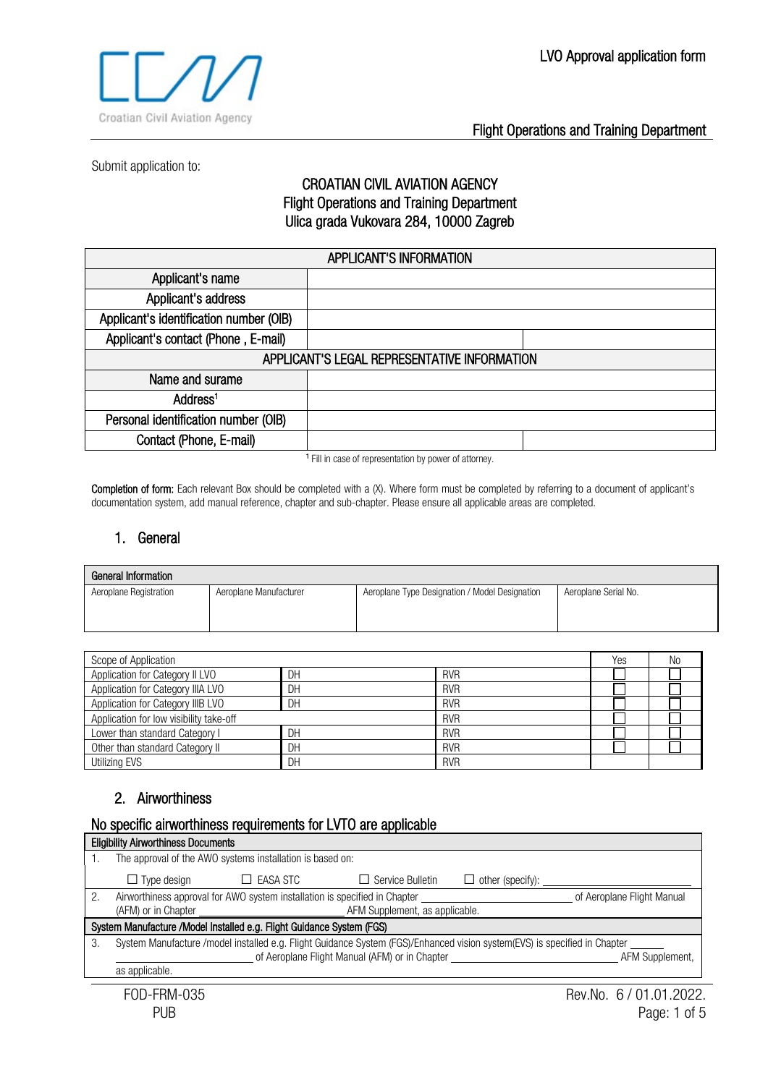

Submit application to:

#### CROATIAN CIVIL AVIATION AGENCY Flight Operations and Training Department Ulica grada Vukovara 284, 10000 Zagreb

| <b>APPLICANT'S INFORMATION</b>               |  |  |  |
|----------------------------------------------|--|--|--|
| Applicant's name                             |  |  |  |
| Applicant's address                          |  |  |  |
| Applicant's identification number (OIB)      |  |  |  |
| Applicant's contact (Phone, E-mail)          |  |  |  |
| APPLICANT'S LEGAL REPRESENTATIVE INFORMATION |  |  |  |
| Name and surame                              |  |  |  |
| Address <sup>1</sup>                         |  |  |  |
| Personal identification number (OIB)         |  |  |  |
| Contact (Phone, E-mail)                      |  |  |  |
|                                              |  |  |  |

<sup>1</sup> Fill in case of representation by power of attorney.

Completion of form: Each relevant Box should be completed with a (X). Where form must be completed by referring to a document of applicant's documentation system, add manual reference, chapter and sub-chapter. Please ensure all applicable areas are completed.

#### 1. General

| General Information    |                        |                                                |                      |  |
|------------------------|------------------------|------------------------------------------------|----------------------|--|
| Aeroplane Registration | Aeroplane Manufacturer | Aeroplane Type Designation / Model Designation | Aeroplane Serial No. |  |
|                        |                        |                                                |                      |  |
|                        |                        |                                                |                      |  |

| Scope of Application                                  |    |            | Yes | No |
|-------------------------------------------------------|----|------------|-----|----|
| Application for Category II LVO                       | DH | <b>RVR</b> |     |    |
| Application for Category IIIA LVO                     | DH | <b>RVR</b> |     |    |
| Application for Category IIIB LVO                     | DН | <b>RVR</b> |     |    |
| Application for low visibility take-off<br><b>RVR</b> |    |            |     |    |
| Lower than standard Category I                        | DН | <b>RVR</b> |     |    |
| Other than standard Category II                       | DН | <b>RVR</b> |     |    |
| Utilizing EVS                                         | DH | <b>RVR</b> |     |    |

#### 2. Airworthiness

#### No specific airworthiness requirements for LVTO are applicable

|    | <b>Eligibility Airworthiness Documents</b>                                                                                |                                                                            |                                |                         |                            |
|----|---------------------------------------------------------------------------------------------------------------------------|----------------------------------------------------------------------------|--------------------------------|-------------------------|----------------------------|
|    |                                                                                                                           | The approval of the AWO systems installation is based on:                  |                                |                         |                            |
|    | $\Box$ Type design                                                                                                        | $\Box$ easa stc                                                            | $\Box$ Service Bulletin        | $\Box$ other (specify): |                            |
|    |                                                                                                                           | Airworthiness approval for AWO system installation is specified in Chapter |                                |                         | of Aeroplane Flight Manual |
|    | (AFM) or in Chapter                                                                                                       |                                                                            | AFM Supplement, as applicable. |                         |                            |
|    | System Manufacture /Model Installed e.g. Flight Guidance System (FGS)                                                     |                                                                            |                                |                         |                            |
| 3. | System Manufacture /model installed e.g. Flight Guidance System (FGS)/Enhanced vision system(EVS) is specified in Chapter |                                                                            |                                |                         |                            |
|    | of Aeroplane Flight Manual (AFM) or in Chapter<br>AFM Supplement.                                                         |                                                                            |                                |                         |                            |
|    | as applicable.                                                                                                            |                                                                            |                                |                         |                            |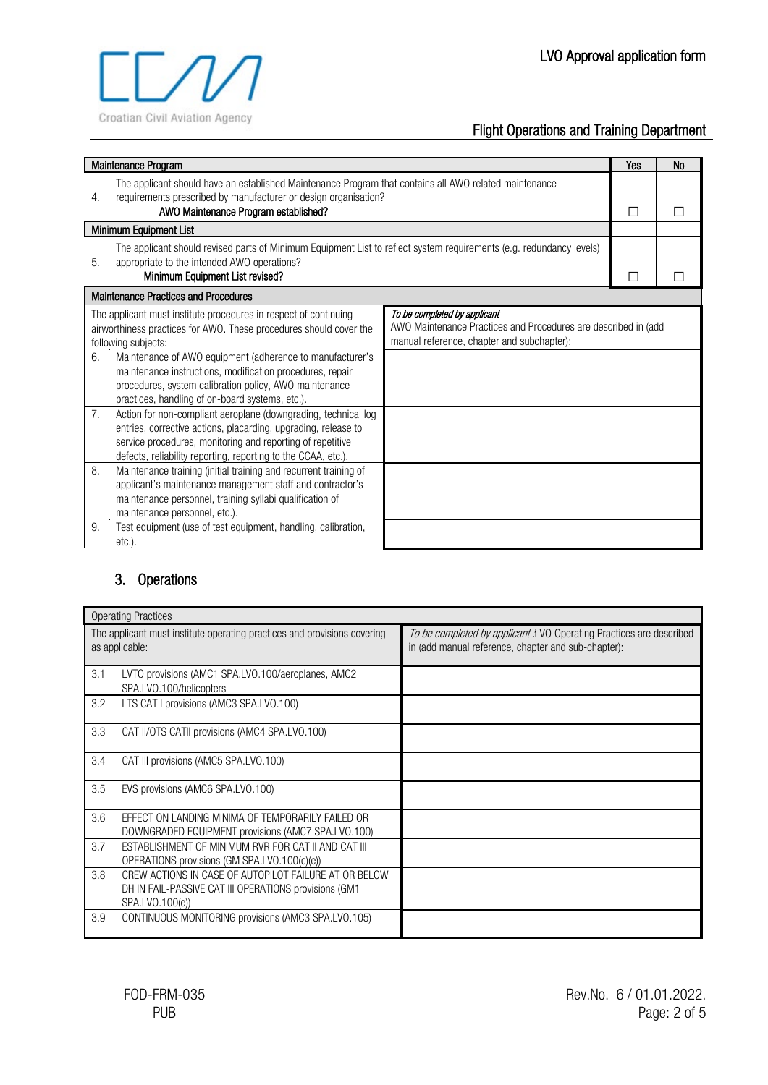

| Maintenance Program                                                                                                                                                                                                                                                                                           | Yes | <b>No</b> |
|---------------------------------------------------------------------------------------------------------------------------------------------------------------------------------------------------------------------------------------------------------------------------------------------------------------|-----|-----------|
| The applicant should have an established Maintenance Program that contains all AWO related maintenance<br>requirements prescribed by manufacturer or design organisation?<br>4.<br>AWO Maintenance Program established?                                                                                       |     |           |
| Minimum Equipment List                                                                                                                                                                                                                                                                                        |     |           |
| The applicant should revised parts of Minimum Equipment List to reflect system requirements (e.g. redundancy levels)<br>appropriate to the intended AWO operations?<br>5.<br>Minimum Equipment List revised?                                                                                                  |     |           |
| <b>Maintenance Practices and Procedures</b>                                                                                                                                                                                                                                                                   |     |           |
| To be completed by applicant<br>The applicant must institute procedures in respect of continuing<br>AWO Maintenance Practices and Procedures are described in (add<br>airworthiness practices for AWO. These procedures should cover the<br>manual reference, chapter and subchapter):<br>following subjects: |     |           |
| Maintenance of AWO equipment (adherence to manufacturer's<br>6.<br>maintenance instructions, modification procedures, repair<br>procedures, system calibration policy, AWO maintenance<br>practices, handling of on-board systems, etc.).                                                                     |     |           |
| 7.<br>Action for non-compliant aeroplane (downgrading, technical log<br>entries, corrective actions, placarding, upgrading, release to<br>service procedures, monitoring and reporting of repetitive<br>defects, reliability reporting, reporting to the CCAA, etc.).                                         |     |           |
| 8.<br>Maintenance training (initial training and recurrent training of<br>applicant's maintenance management staff and contractor's<br>maintenance personnel, training syllabi qualification of<br>maintenance personnel, etc.).                                                                              |     |           |
| Test equipment (use of test equipment, handling, calibration,<br>9.<br>$etc.$ ).                                                                                                                                                                                                                              |     |           |

# 3. Operations

| <b>Operating Practices</b>                                                                                                               |                                                                                                                            |
|------------------------------------------------------------------------------------------------------------------------------------------|----------------------------------------------------------------------------------------------------------------------------|
| The applicant must institute operating practices and provisions covering<br>as applicable:                                               | To be completed by applicant .LVO Operating Practices are described<br>in (add manual reference, chapter and sub-chapter): |
| 3.1<br>LVTO provisions (AMC1 SPA.LVO.100/aeroplanes, AMC2<br>SPA.LVO.100/helicopters                                                     |                                                                                                                            |
| 3.2<br>LTS CAT I provisions (AMC3 SPA.LVO.100)                                                                                           |                                                                                                                            |
| 3.3<br>CAT II/OTS CATII provisions (AMC4 SPA.LVO.100)                                                                                    |                                                                                                                            |
| 3.4<br>CAT III provisions (AMC5 SPA.LVO.100)                                                                                             |                                                                                                                            |
| 3.5<br>EVS provisions (AMC6 SPA.LVO.100)                                                                                                 |                                                                                                                            |
| 3.6<br>EFFECT ON LANDING MINIMA OF TEMPORARILY FAILED OR<br>DOWNGRADED EQUIPMENT provisions (AMC7 SPA.LVO.100)                           |                                                                                                                            |
| 3.7<br>ESTABLISHMENT OF MINIMUM RVR FOR CAT II AND CAT III<br>OPERATIONS provisions (GM SPA.LVO.100(c)(e))                               |                                                                                                                            |
| 3.8<br>CREW ACTIONS IN CASE OF AUTOPILOT FAILURE AT OR BELOW<br>DH IN FAIL-PASSIVE CAT III OPERATIONS provisions (GM1<br>SPA.LVO.100(e)) |                                                                                                                            |
| 3.9<br>CONTINUOUS MONITORING provisions (AMC3 SPA.LVO.105)                                                                               |                                                                                                                            |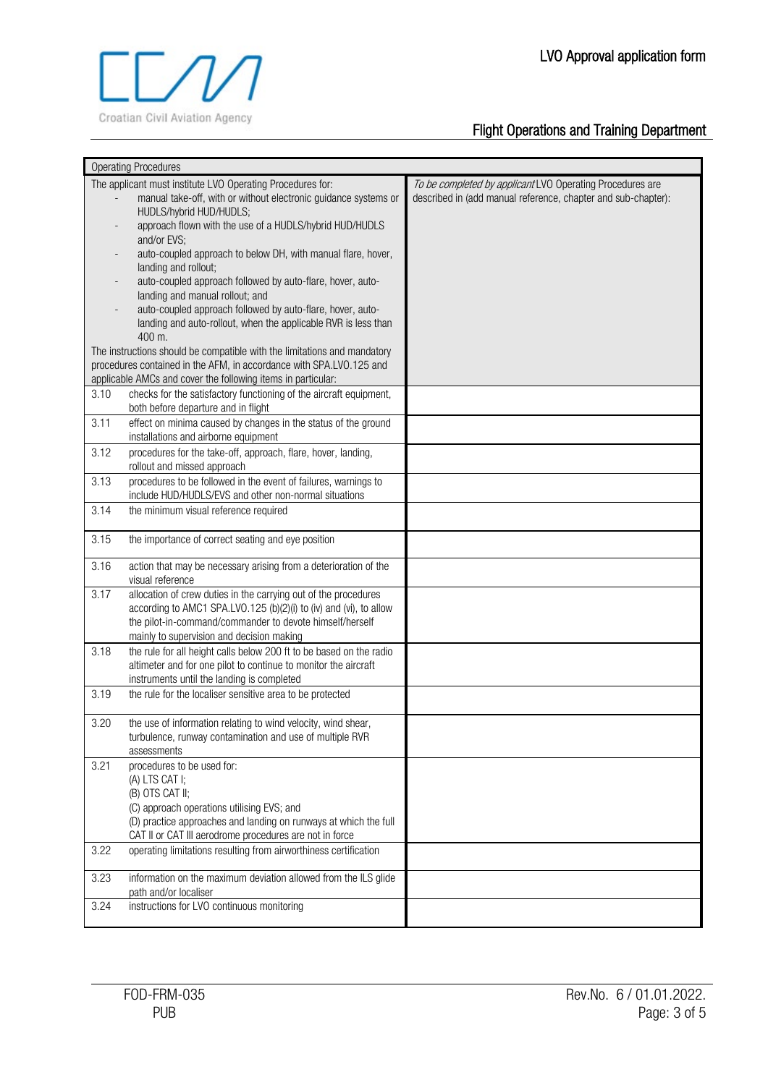

|      | <b>Operating Procedures</b>                                                                                                                                                                                                                    |                                                                                                                            |
|------|------------------------------------------------------------------------------------------------------------------------------------------------------------------------------------------------------------------------------------------------|----------------------------------------------------------------------------------------------------------------------------|
|      | The applicant must institute LVO Operating Procedures for:<br>manual take-off, with or without electronic guidance systems or<br>HUDLS/hybrid HUD/HUDLS;                                                                                       | To be completed by applicant LVO Operating Procedures are<br>described in (add manual reference, chapter and sub-chapter): |
|      | approach flown with the use of a HUDLS/hybrid HUD/HUDLS<br>and/or EVS;                                                                                                                                                                         |                                                                                                                            |
|      | auto-coupled approach to below DH, with manual flare, hover,<br>landing and rollout;                                                                                                                                                           |                                                                                                                            |
|      | auto-coupled approach followed by auto-flare, hover, auto-<br>landing and manual rollout; and                                                                                                                                                  |                                                                                                                            |
|      | auto-coupled approach followed by auto-flare, hover, auto-                                                                                                                                                                                     |                                                                                                                            |
|      | landing and auto-rollout, when the applicable RVR is less than<br>400 m.                                                                                                                                                                       |                                                                                                                            |
|      | The instructions should be compatible with the limitations and mandatory                                                                                                                                                                       |                                                                                                                            |
|      | procedures contained in the AFM, in accordance with SPA.LVO.125 and                                                                                                                                                                            |                                                                                                                            |
|      | applicable AMCs and cover the following items in particular:                                                                                                                                                                                   |                                                                                                                            |
| 3.10 | checks for the satisfactory functioning of the aircraft equipment,<br>both before departure and in flight                                                                                                                                      |                                                                                                                            |
| 3.11 | effect on minima caused by changes in the status of the ground<br>installations and airborne equipment                                                                                                                                         |                                                                                                                            |
| 3.12 | procedures for the take-off, approach, flare, hover, landing,<br>rollout and missed approach                                                                                                                                                   |                                                                                                                            |
| 3.13 | procedures to be followed in the event of failures, warnings to<br>include HUD/HUDLS/EVS and other non-normal situations                                                                                                                       |                                                                                                                            |
| 3.14 | the minimum visual reference required                                                                                                                                                                                                          |                                                                                                                            |
| 3.15 | the importance of correct seating and eye position                                                                                                                                                                                             |                                                                                                                            |
| 3.16 | action that may be necessary arising from a deterioration of the<br>visual reference                                                                                                                                                           |                                                                                                                            |
| 3.17 | allocation of crew duties in the carrying out of the procedures<br>according to AMC1 SPA.LVO.125 (b)(2)(i) to (iv) and (vi), to allow<br>the pilot-in-command/commander to devote himself/herself<br>mainly to supervision and decision making |                                                                                                                            |
| 3.18 | the rule for all height calls below 200 ft to be based on the radio<br>altimeter and for one pilot to continue to monitor the aircraft                                                                                                         |                                                                                                                            |
|      | instruments until the landing is completed                                                                                                                                                                                                     |                                                                                                                            |
| 3.19 | the rule for the localiser sensitive area to be protected                                                                                                                                                                                      |                                                                                                                            |
| 3.20 | the use of information relating to wind velocity, wind shear,<br>turbulence, runway contamination and use of multiple RVR<br>assessments                                                                                                       |                                                                                                                            |
| 3.21 | procedures to be used for:<br>(A) LTS CAT I;                                                                                                                                                                                                   |                                                                                                                            |
|      | (B) OTS CAT II;                                                                                                                                                                                                                                |                                                                                                                            |
|      | (C) approach operations utilising EVS; and<br>(D) practice approaches and landing on runways at which the full                                                                                                                                 |                                                                                                                            |
| 3.22 | CAT II or CAT III aerodrome procedures are not in force<br>operating limitations resulting from airworthiness certification                                                                                                                    |                                                                                                                            |
| 3.23 | information on the maximum deviation allowed from the ILS glide                                                                                                                                                                                |                                                                                                                            |
|      | path and/or localiser                                                                                                                                                                                                                          |                                                                                                                            |
| 3.24 | instructions for LVO continuous monitoring                                                                                                                                                                                                     |                                                                                                                            |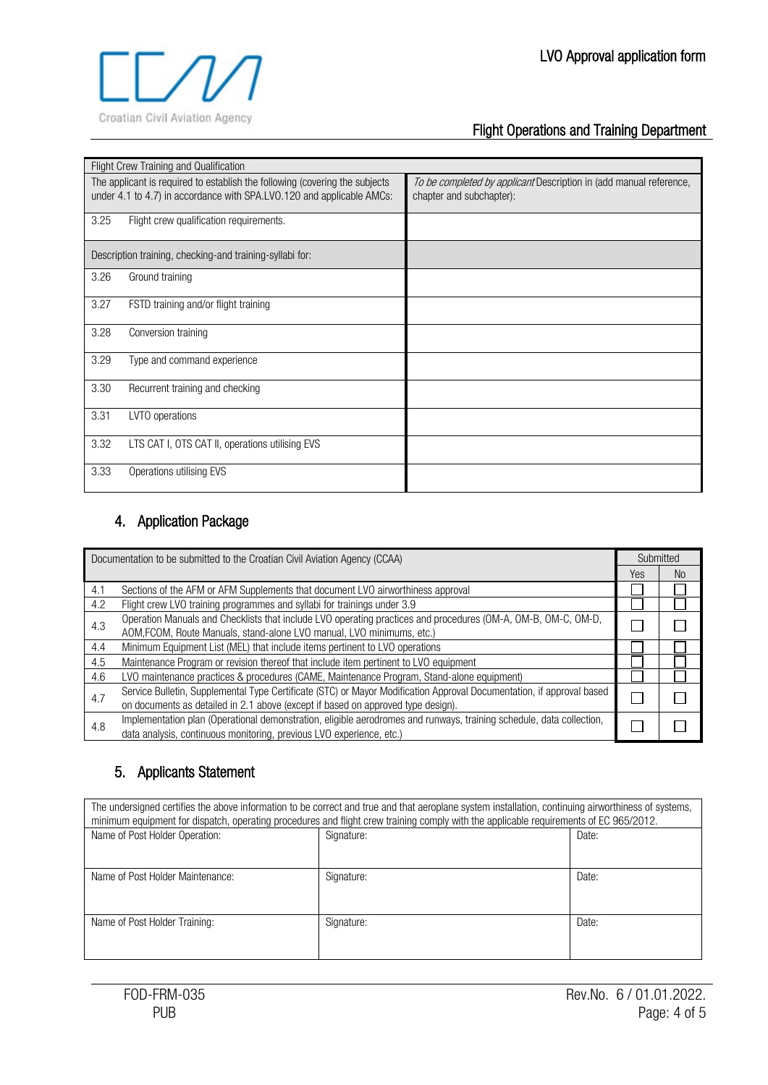

| Flight Crew Training and Qualification                                                                                                               |                                                                                                |
|------------------------------------------------------------------------------------------------------------------------------------------------------|------------------------------------------------------------------------------------------------|
| The applicant is required to establish the following (covering the subjects<br>under 4.1 to 4.7) in accordance with SPA.LVO.120 and applicable AMCs: | To be completed by applicant Description in (add manual reference,<br>chapter and subchapter): |
| 3.25<br>Flight crew qualification requirements.                                                                                                      |                                                                                                |
| Description training, checking-and training-syllabi for:                                                                                             |                                                                                                |
| 3.26<br>Ground training                                                                                                                              |                                                                                                |
| 3.27<br>FSTD training and/or flight training                                                                                                         |                                                                                                |
| 3.28<br>Conversion training                                                                                                                          |                                                                                                |
| 3.29<br>Type and command experience                                                                                                                  |                                                                                                |
| 3.30<br>Recurrent training and checking                                                                                                              |                                                                                                |
| 3.31<br>LVTO operations                                                                                                                              |                                                                                                |
| 3.32<br>LTS CAT I, OTS CAT II, operations utilising EVS                                                                                              |                                                                                                |
| 3.33<br>Operations utilising EVS                                                                                                                     |                                                                                                |

### 4. Application Package

|     | Documentation to be submitted to the Croatian Civil Aviation Agency (CCAA)                                                                                                                                | Submitted |     |
|-----|-----------------------------------------------------------------------------------------------------------------------------------------------------------------------------------------------------------|-----------|-----|
|     |                                                                                                                                                                                                           | Yes       | No. |
| 4.1 | Sections of the AFM or AFM Supplements that document LVO airworthiness approval                                                                                                                           |           |     |
| 4.2 | Flight crew LVO training programmes and syllabi for trainings under 3.9                                                                                                                                   |           |     |
| 4.3 | Operation Manuals and Checklists that include LVO operating practices and procedures (OM-A, OM-B, OM-C, OM-D,<br>AOM, FCOM, Route Manuals, stand-alone LVO manual, LVO minimums, etc.)                    |           |     |
| 4.4 | Minimum Equipment List (MEL) that include items pertinent to LVO operations                                                                                                                               |           |     |
| 4.5 | Maintenance Program or revision thereof that include item pertinent to LVO equipment                                                                                                                      |           |     |
| 4.6 | LVO maintenance practices & procedures (CAME, Maintenance Program, Stand-alone equipment)                                                                                                                 |           |     |
| 4.7 | Service Bulletin, Supplemental Type Certificate (STC) or Mayor Modification Approval Documentation, if approval based<br>on documents as detailed in 2.1 above (except if based on approved type design). |           |     |
| 4.8 | Implementation plan (Operational demonstration, eligible aerodromes and runways, training schedule, data collection,<br>data analysis, continuous monitoring, previous LVO experience, etc.)              |           |     |

### 5. Applicants Statement

| The undersigned certifies the above information to be correct and true and that aeroplane system installation, continuing airworthiness of systems,<br>minimum equipment for dispatch, operating procedures and flight crew training comply with the applicable requirements of EC 965/2012. |            |       |  |  |  |
|----------------------------------------------------------------------------------------------------------------------------------------------------------------------------------------------------------------------------------------------------------------------------------------------|------------|-------|--|--|--|
| Name of Post Holder Operation:<br>Signature:<br>Date:                                                                                                                                                                                                                                        |            |       |  |  |  |
|                                                                                                                                                                                                                                                                                              |            |       |  |  |  |
| Name of Post Holder Maintenance:                                                                                                                                                                                                                                                             | Signature: | Date: |  |  |  |
| Date:<br>Name of Post Holder Training:<br>Signature:                                                                                                                                                                                                                                         |            |       |  |  |  |